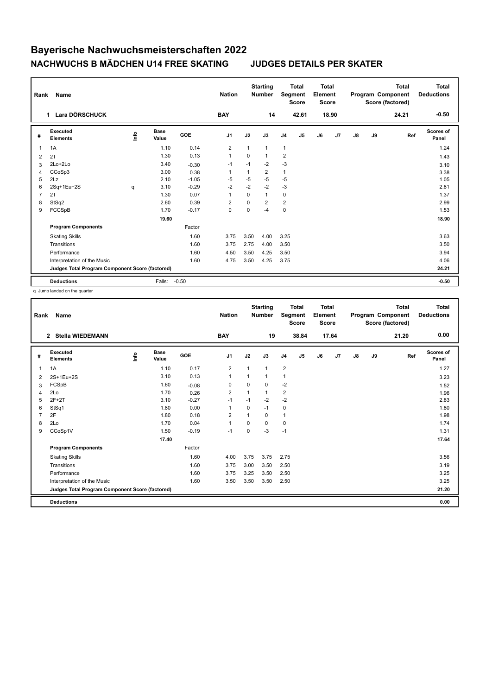| Rank           | Name                                            |      |                      |         | <b>Nation</b>  |                | <b>Starting</b><br><b>Number</b> | Segment        | <b>Total</b><br><b>Score</b> | <b>Total</b><br>Element<br><b>Score</b> |       |    |    | <b>Total</b><br>Program Component<br>Score (factored) | <b>Total</b><br><b>Deductions</b> |
|----------------|-------------------------------------------------|------|----------------------|---------|----------------|----------------|----------------------------------|----------------|------------------------------|-----------------------------------------|-------|----|----|-------------------------------------------------------|-----------------------------------|
|                | Lara DÖRSCHUCK<br>$\mathbf 1$                   |      |                      |         | <b>BAY</b>     |                | 14                               |                | 42.61                        |                                         | 18.90 |    |    | 24.21                                                 | $-0.50$                           |
| #              | Executed<br><b>Elements</b>                     | Info | <b>Base</b><br>Value | GOE     | J <sub>1</sub> | J2             | J3                               | J <sub>4</sub> | J5                           | J6                                      | J7    | J8 | J9 | Ref                                                   | <b>Scores of</b><br>Panel         |
| $\mathbf{1}$   | 1A                                              |      | 1.10                 | 0.14    | $\overline{2}$ | $\overline{1}$ | $\mathbf{1}$                     | $\mathbf{1}$   |                              |                                         |       |    |    |                                                       | 1.24                              |
| 2              | 2T                                              |      | 1.30                 | 0.13    | $\mathbf{1}$   | $\Omega$       | $\mathbf{1}$                     | $\overline{2}$ |                              |                                         |       |    |    |                                                       | 1.43                              |
| 3              | 2Lo+2Lo                                         |      | 3.40                 | $-0.30$ | $-1$           | $-1$           | $-2$                             | $-3$           |                              |                                         |       |    |    |                                                       | 3.10                              |
| 4              | CCoSp3                                          |      | 3.00                 | 0.38    | 1              |                | $\overline{2}$                   | $\mathbf{1}$   |                              |                                         |       |    |    |                                                       | 3.38                              |
| 5              | 2Lz                                             |      | 2.10                 | $-1.05$ | $-5$           | $-5$           | $-5$                             | $-5$           |                              |                                         |       |    |    |                                                       | 1.05                              |
| 6              | 2Sq+1Eu+2S                                      | q    | 3.10                 | $-0.29$ | $-2$           | $-2$           | $-2$                             | $-3$           |                              |                                         |       |    |    |                                                       | 2.81                              |
| $\overline{7}$ | 2T                                              |      | 1.30                 | 0.07    | $\mathbf{1}$   | $\Omega$       | $\mathbf{1}$                     | $\mathbf 0$    |                              |                                         |       |    |    |                                                       | 1.37                              |
| 8              | StSq2                                           |      | 2.60                 | 0.39    | $\overline{2}$ | $\Omega$       | $\overline{2}$                   | $\overline{2}$ |                              |                                         |       |    |    |                                                       | 2.99                              |
| 9              | FCCSpB                                          |      | 1.70                 | $-0.17$ | $\mathbf 0$    | 0              | -4                               | $\pmb{0}$      |                              |                                         |       |    |    |                                                       | 1.53                              |
|                |                                                 |      | 19.60                |         |                |                |                                  |                |                              |                                         |       |    |    |                                                       | 18.90                             |
|                | <b>Program Components</b>                       |      |                      | Factor  |                |                |                                  |                |                              |                                         |       |    |    |                                                       |                                   |
|                | <b>Skating Skills</b>                           |      |                      | 1.60    | 3.75           | 3.50           | 4.00                             | 3.25           |                              |                                         |       |    |    |                                                       | 3.63                              |
|                | Transitions                                     |      |                      | 1.60    | 3.75           | 2.75           | 4.00                             | 3.50           |                              |                                         |       |    |    |                                                       | 3.50                              |
|                | Performance                                     |      |                      | 1.60    | 4.50           | 3.50           | 4.25                             | 3.50           |                              |                                         |       |    |    |                                                       | 3.94                              |
|                | Interpretation of the Music                     |      |                      | 1.60    | 4.75           | 3.50           | 4.25                             | 3.75           |                              |                                         |       |    |    |                                                       | 4.06                              |
|                | Judges Total Program Component Score (factored) |      |                      |         |                |                |                                  |                |                              |                                         |       |    |    |                                                       | 24.21                             |
|                | <b>Deductions</b>                               |      | Falls:               | $-0.50$ |                |                |                                  |                |                              |                                         |       |    |    |                                                       | $-0.50$                           |

q Jump landed on the quarter

| Rank | Name                                            |      |                      |         | <b>Nation</b>  |          | <b>Starting</b><br><b>Number</b> |                | <b>Total</b><br>Segment<br><b>Score</b> | <b>Total</b><br>Element<br>Score |       |               |    | <b>Total</b><br>Program Component<br>Score (factored) | <b>Total</b><br><b>Deductions</b> |
|------|-------------------------------------------------|------|----------------------|---------|----------------|----------|----------------------------------|----------------|-----------------------------------------|----------------------------------|-------|---------------|----|-------------------------------------------------------|-----------------------------------|
|      | <b>Stella WIEDEMANN</b><br>$\mathbf{2}$         |      |                      |         | <b>BAY</b>     |          | 19                               |                | 38.84                                   |                                  | 17.64 |               |    | 21.20                                                 | 0.00                              |
| #    | Executed<br><b>Elements</b>                     | lnfo | <b>Base</b><br>Value | GOE     | J <sub>1</sub> | J2       | J3                               | J <sub>4</sub> | J5                                      | J6                               | J7    | $\mathsf{J}8$ | J9 | Ref                                                   | Scores of<br>Panel                |
| 1    | 1A                                              |      | 1.10                 | 0.17    | $\overline{2}$ | 1        | 1                                | $\overline{2}$ |                                         |                                  |       |               |    |                                                       | 1.27                              |
| 2    | 2S+1Eu+2S                                       |      | 3.10                 | 0.13    | $\mathbf{1}$   |          | 1                                | $\mathbf{1}$   |                                         |                                  |       |               |    |                                                       | 3.23                              |
| 3    | FCSpB                                           |      | 1.60                 | $-0.08$ | 0              | $\Omega$ | 0                                | $-2$           |                                         |                                  |       |               |    |                                                       | 1.52                              |
| 4    | 2Lo                                             |      | 1.70                 | 0.26    | $\overline{2}$ |          | 1                                | $\overline{2}$ |                                         |                                  |       |               |    |                                                       | 1.96                              |
| 5    | $2F+2T$                                         |      | 3.10                 | $-0.27$ | $-1$           | $-1$     | $-2$                             | $-2$           |                                         |                                  |       |               |    |                                                       | 2.83                              |
| 6    | StSq1                                           |      | 1.80                 | 0.00    | $\mathbf{1}$   | $\Omega$ | $-1$                             | 0              |                                         |                                  |       |               |    |                                                       | 1.80                              |
|      | 2F                                              |      | 1.80                 | 0.18    | 2              |          | 0                                | $\mathbf{1}$   |                                         |                                  |       |               |    |                                                       | 1.98                              |
| 8    | 2Lo                                             |      | 1.70                 | 0.04    | $\mathbf{1}$   | $\Omega$ | 0                                | 0              |                                         |                                  |       |               |    |                                                       | 1.74                              |
| 9    | CCoSp1V                                         |      | 1.50                 | $-0.19$ | $-1$           | 0        | $-3$                             | $-1$           |                                         |                                  |       |               |    |                                                       | 1.31                              |
|      |                                                 |      | 17.40                |         |                |          |                                  |                |                                         |                                  |       |               |    |                                                       | 17.64                             |
|      | <b>Program Components</b>                       |      |                      | Factor  |                |          |                                  |                |                                         |                                  |       |               |    |                                                       |                                   |
|      | <b>Skating Skills</b>                           |      |                      | 1.60    | 4.00           | 3.75     | 3.75                             | 2.75           |                                         |                                  |       |               |    |                                                       | 3.56                              |
|      | Transitions                                     |      |                      | 1.60    | 3.75           | 3.00     | 3.50                             | 2.50           |                                         |                                  |       |               |    |                                                       | 3.19                              |
|      | Performance                                     |      |                      | 1.60    | 3.75           | 3.25     | 3.50                             | 2.50           |                                         |                                  |       |               |    |                                                       | 3.25                              |
|      | Interpretation of the Music                     |      |                      | 1.60    | 3.50           | 3.50     | 3.50                             | 2.50           |                                         |                                  |       |               |    |                                                       | 3.25                              |
|      | Judges Total Program Component Score (factored) |      |                      |         |                |          |                                  |                |                                         |                                  |       |               |    |                                                       | 21.20                             |
|      | <b>Deductions</b>                               |      |                      |         |                |          |                                  |                |                                         |                                  |       |               |    |                                                       | 0.00                              |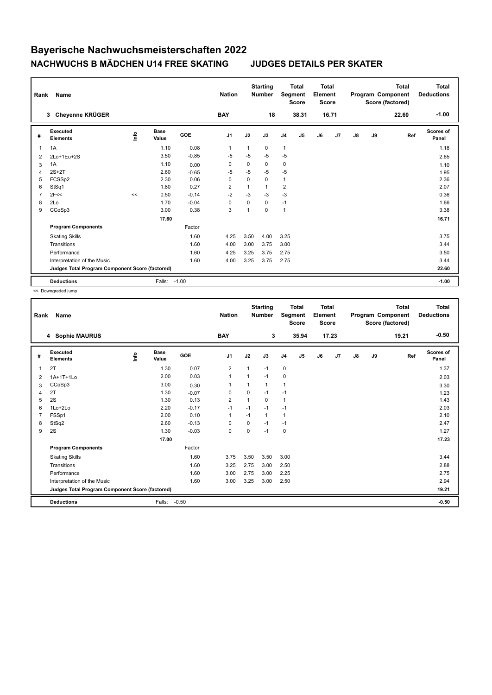| Rank           | <b>Name</b>                                     |      |                      |            | <b>Nation</b>  |          | <b>Starting</b><br><b>Number</b> | Segment        | <b>Total</b><br><b>Score</b> | <b>Total</b><br>Element<br><b>Score</b> |       |               |    | <b>Total</b><br>Program Component<br>Score (factored) | Total<br><b>Deductions</b> |
|----------------|-------------------------------------------------|------|----------------------|------------|----------------|----------|----------------------------------|----------------|------------------------------|-----------------------------------------|-------|---------------|----|-------------------------------------------------------|----------------------------|
|                | Cheyenne KRÜGER<br>3                            |      |                      |            | <b>BAY</b>     |          | 18                               |                | 38.31                        |                                         | 16.71 |               |    | 22.60                                                 | $-1.00$                    |
| #              | <b>Executed</b><br><b>Elements</b>              | Info | <b>Base</b><br>Value | <b>GOE</b> | J <sub>1</sub> | J2       | J3                               | J <sub>4</sub> | J5                           | J6                                      | J7    | $\mathsf{J}8$ | J9 | Ref                                                   | Scores of<br>Panel         |
| 1              | 1A                                              |      | 1.10                 | 0.08       | $\mathbf{1}$   |          | 0                                | $\mathbf{1}$   |                              |                                         |       |               |    |                                                       | 1.18                       |
| 2              | 2Lo+1Eu+2S                                      |      | 3.50                 | $-0.85$    | -5             | $-5$     | $-5$                             | -5             |                              |                                         |       |               |    |                                                       | 2.65                       |
| 3              | 1A                                              |      | 1.10                 | 0.00       | 0              | 0        | 0                                | 0              |                              |                                         |       |               |    |                                                       | 1.10                       |
| 4              | $2S+2T$                                         |      | 2.60                 | $-0.65$    | -5             | $-5$     | $-5$                             | -5             |                              |                                         |       |               |    |                                                       | 1.95                       |
| 5              | FCSSp2                                          |      | 2.30                 | 0.06       | 0              | $\Omega$ | 0                                | $\mathbf{1}$   |                              |                                         |       |               |    |                                                       | 2.36                       |
| 6              | StSq1                                           |      | 1.80                 | 0.27       | $\overline{2}$ |          | 1                                | $\overline{2}$ |                              |                                         |       |               |    |                                                       | 2.07                       |
| $\overline{7}$ | 2F<<                                            | <<   | 0.50                 | $-0.14$    | $-2$           | $-3$     | $-3$                             | $-3$           |                              |                                         |       |               |    |                                                       | 0.36                       |
| 8              | 2Lo                                             |      | 1.70                 | $-0.04$    | $\mathbf 0$    | $\Omega$ | 0                                | $-1$           |                              |                                         |       |               |    |                                                       | 1.66                       |
| 9              | CCoSp3                                          |      | 3.00                 | 0.38       | 3              |          | 0                                | $\overline{1}$ |                              |                                         |       |               |    |                                                       | 3.38                       |
|                |                                                 |      | 17.60                |            |                |          |                                  |                |                              |                                         |       |               |    |                                                       | 16.71                      |
|                | <b>Program Components</b>                       |      |                      | Factor     |                |          |                                  |                |                              |                                         |       |               |    |                                                       |                            |
|                | <b>Skating Skills</b>                           |      |                      | 1.60       | 4.25           | 3.50     | 4.00                             | 3.25           |                              |                                         |       |               |    |                                                       | 3.75                       |
|                | Transitions                                     |      |                      | 1.60       | 4.00           | 3.00     | 3.75                             | 3.00           |                              |                                         |       |               |    |                                                       | 3.44                       |
|                | Performance                                     |      |                      | 1.60       | 4.25           | 3.25     | 3.75                             | 2.75           |                              |                                         |       |               |    |                                                       | 3.50                       |
|                | Interpretation of the Music                     |      |                      | 1.60       | 4.00           | 3.25     | 3.75                             | 2.75           |                              |                                         |       |               |    |                                                       | 3.44                       |
|                | Judges Total Program Component Score (factored) |      |                      |            |                |          |                                  |                |                              |                                         |       |               |    |                                                       | 22.60                      |
|                | <b>Deductions</b>                               |      | Falls:               | $-1.00$    |                |          |                                  |                |                              |                                         |       |               |    |                                                       | $-1.00$                    |

<< Downgraded jump

| Rank | Name                                            |       |                      |            | <b>Nation</b>  |                         | <b>Starting</b><br><b>Number</b> |                | <b>Total</b><br>Segment<br><b>Score</b> | <b>Total</b><br>Element<br><b>Score</b> |       |               |    | <b>Total</b><br>Program Component<br>Score (factored) | <b>Total</b><br><b>Deductions</b> |
|------|-------------------------------------------------|-------|----------------------|------------|----------------|-------------------------|----------------------------------|----------------|-----------------------------------------|-----------------------------------------|-------|---------------|----|-------------------------------------------------------|-----------------------------------|
|      | 4 Sophie MAURUS                                 |       |                      |            | <b>BAY</b>     |                         | 3                                |                | 35.94                                   |                                         | 17.23 |               |    | 19.21                                                 | $-0.50$                           |
| #    | Executed<br><b>Elements</b>                     | Linfo | <b>Base</b><br>Value | <b>GOE</b> | J1             | J2                      | J3                               | J <sub>4</sub> | J5                                      | J6                                      | J7    | $\mathsf{J}8$ | J9 | Ref                                                   | <b>Scores of</b><br>Panel         |
| 1    | 2T                                              |       | 1.30                 | 0.07       | $\overline{2}$ |                         | $-1$                             | 0              |                                         |                                         |       |               |    |                                                       | 1.37                              |
| 2    | 1A+1T+1Lo                                       |       | 2.00                 | 0.03       | $\mathbf{1}$   | $\overline{\mathbf{1}}$ | $-1$                             | $\mathbf 0$    |                                         |                                         |       |               |    |                                                       | 2.03                              |
| 3    | CCoSp3                                          |       | 3.00                 | 0.30       | 1              |                         | 1                                | $\overline{1}$ |                                         |                                         |       |               |    |                                                       | 3.30                              |
| 4    | 2T                                              |       | 1.30                 | $-0.07$    | 0              | 0                       | $-1$                             | $-1$           |                                         |                                         |       |               |    |                                                       | 1.23                              |
| 5    | 2S                                              |       | 1.30                 | 0.13       | $\overline{2}$ | $\overline{1}$          | 0                                | $\mathbf{1}$   |                                         |                                         |       |               |    |                                                       | 1.43                              |
| 6    | 1Lo+2Lo                                         |       | 2.20                 | $-0.17$    | $-1$           | $-1$                    | $-1$                             | $-1$           |                                         |                                         |       |               |    |                                                       | 2.03                              |
|      | FSSp1                                           |       | 2.00                 | 0.10       | $\mathbf{1}$   | $-1$                    | 1                                | $\overline{1}$ |                                         |                                         |       |               |    |                                                       | 2.10                              |
| 8    | StSq2                                           |       | 2.60                 | $-0.13$    | 0              | 0                       | $-1$                             | $-1$           |                                         |                                         |       |               |    |                                                       | 2.47                              |
| 9    | 2S                                              |       | 1.30                 | $-0.03$    | 0              | 0                       | $-1$                             | 0              |                                         |                                         |       |               |    |                                                       | 1.27                              |
|      |                                                 |       | 17.00                |            |                |                         |                                  |                |                                         |                                         |       |               |    |                                                       | 17.23                             |
|      | <b>Program Components</b>                       |       |                      | Factor     |                |                         |                                  |                |                                         |                                         |       |               |    |                                                       |                                   |
|      | <b>Skating Skills</b>                           |       |                      | 1.60       | 3.75           | 3.50                    | 3.50                             | 3.00           |                                         |                                         |       |               |    |                                                       | 3.44                              |
|      | Transitions                                     |       |                      | 1.60       | 3.25           | 2.75                    | 3.00                             | 2.50           |                                         |                                         |       |               |    |                                                       | 2.88                              |
|      | Performance                                     |       |                      | 1.60       | 3.00           | 2.75                    | 3.00                             | 2.25           |                                         |                                         |       |               |    |                                                       | 2.75                              |
|      | Interpretation of the Music                     |       |                      | 1.60       | 3.00           | 3.25                    | 3.00                             | 2.50           |                                         |                                         |       |               |    |                                                       | 2.94                              |
|      | Judges Total Program Component Score (factored) |       |                      |            |                |                         |                                  |                |                                         |                                         |       |               |    |                                                       | 19.21                             |
|      | <b>Deductions</b>                               |       | Falls:               | $-0.50$    |                |                         |                                  |                |                                         |                                         |       |               |    |                                                       | $-0.50$                           |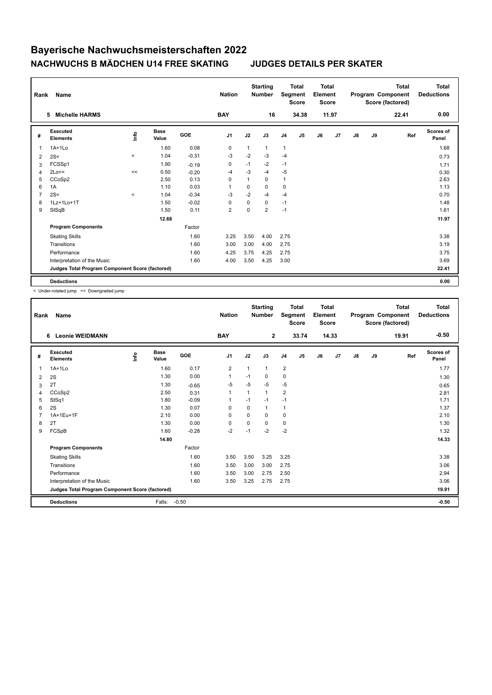| Rank           | <b>Name</b>                                     |                                  |                      |            | <b>Nation</b>  |              | <b>Starting</b><br><b>Number</b> |                | <b>Total</b><br>Segment<br><b>Score</b> | <b>Total</b><br>Element<br><b>Score</b> |                |               |    | <b>Total</b><br>Program Component<br>Score (factored) | <b>Total</b><br><b>Deductions</b> |
|----------------|-------------------------------------------------|----------------------------------|----------------------|------------|----------------|--------------|----------------------------------|----------------|-----------------------------------------|-----------------------------------------|----------------|---------------|----|-------------------------------------------------------|-----------------------------------|
|                | <b>Michelle HARMS</b><br>5                      |                                  |                      |            | <b>BAY</b>     |              | 16                               |                | 34.38                                   |                                         | 11.97          |               |    | 22.41                                                 | 0.00                              |
| #              | Executed<br><b>Elements</b>                     | $\mathop{\mathsf{Int}}\nolimits$ | <b>Base</b><br>Value | <b>GOE</b> | J <sub>1</sub> | J2           | J3                               | J <sub>4</sub> | J5                                      | J6                                      | J <sub>7</sub> | $\mathsf{J}8$ | J9 | Ref                                                   | Scores of<br>Panel                |
| $\overline{1}$ | $1A+1Lo$                                        |                                  | 1.60                 | 0.08       | $\pmb{0}$      | $\mathbf{1}$ | 1                                | $\mathbf{1}$   |                                         |                                         |                |               |    |                                                       | 1.68                              |
| 2              | 2S<                                             | $\hat{}$                         | 1.04                 | $-0.31$    | $-3$           | $-2$         | $-3$                             | $-4$           |                                         |                                         |                |               |    |                                                       | 0.73                              |
| 3              | FCSSp1                                          |                                  | 1.90                 | $-0.19$    | 0              | $-1$         | $-2$                             | $-1$           |                                         |                                         |                |               |    |                                                       | 1.71                              |
| $\overline{4}$ | 2Lo<<                                           | <<                               | 0.50                 | $-0.20$    | $-4$           | $-3$         | $-4$                             | $-5$           |                                         |                                         |                |               |    |                                                       | 0.30                              |
| 5              | CCoSp2                                          |                                  | 2.50                 | 0.13       | 0              | 1            | 0                                | $\mathbf{1}$   |                                         |                                         |                |               |    |                                                       | 2.63                              |
| 6              | 1A                                              |                                  | 1.10                 | 0.03       | $\overline{1}$ | 0            | 0                                | 0              |                                         |                                         |                |               |    |                                                       | 1.13                              |
| $\overline{7}$ | 2S<                                             | $\,<$                            | 1.04                 | $-0.34$    | $-3$           | $-2$         | $-4$                             | $-4$           |                                         |                                         |                |               |    |                                                       | 0.70                              |
| 8              | 1Lz+1Lo+1T                                      |                                  | 1.50                 | $-0.02$    | 0              | 0            | 0                                | $-1$           |                                         |                                         |                |               |    |                                                       | 1.48                              |
| 9              | StSqB                                           |                                  | 1.50                 | 0.11       | $\overline{2}$ | $\mathbf 0$  | $\overline{2}$                   | $-1$           |                                         |                                         |                |               |    |                                                       | 1.61                              |
|                |                                                 |                                  | 12.68                |            |                |              |                                  |                |                                         |                                         |                |               |    |                                                       | 11.97                             |
|                | <b>Program Components</b>                       |                                  |                      | Factor     |                |              |                                  |                |                                         |                                         |                |               |    |                                                       |                                   |
|                | <b>Skating Skills</b>                           |                                  |                      | 1.60       | 3.25           | 3.50         | 4.00                             | 2.75           |                                         |                                         |                |               |    |                                                       | 3.38                              |
|                | Transitions                                     |                                  |                      | 1.60       | 3.00           | 3.00         | 4.00                             | 2.75           |                                         |                                         |                |               |    |                                                       | 3.19                              |
|                | Performance                                     |                                  |                      | 1.60       | 4.25           | 3.75         | 4.25                             | 2.75           |                                         |                                         |                |               |    |                                                       | 3.75                              |
|                | Interpretation of the Music                     |                                  |                      | 1.60       | 4.00           | 3.50         | 4.25                             | 3.00           |                                         |                                         |                |               |    |                                                       | 3.69                              |
|                | Judges Total Program Component Score (factored) |                                  |                      |            |                |              |                                  |                |                                         |                                         |                |               |    |                                                       | 22.41                             |
|                | <b>Deductions</b>                               |                                  |                      |            |                |              |                                  |                |                                         |                                         |                |               |    |                                                       | 0.00                              |

< Under-rotated jump << Downgraded jump

| Rank | <b>Name</b>                                     |       |                      |         | <b>Nation</b>  |          | <b>Starting</b><br><b>Number</b> |                | <b>Total</b><br>Segment<br><b>Score</b> | <b>Total</b><br>Element<br><b>Score</b> |                |    |    | <b>Total</b><br>Program Component<br>Score (factored) | <b>Total</b><br><b>Deductions</b> |
|------|-------------------------------------------------|-------|----------------------|---------|----------------|----------|----------------------------------|----------------|-----------------------------------------|-----------------------------------------|----------------|----|----|-------------------------------------------------------|-----------------------------------|
|      | <b>Leonie WEIDMANN</b><br>6                     |       |                      |         | <b>BAY</b>     |          | $\mathbf{2}$                     |                | 33.74                                   |                                         | 14.33          |    |    | 19.91                                                 | $-0.50$                           |
| #    | Executed<br><b>Elements</b>                     | Linfo | <b>Base</b><br>Value | GOE     | J <sub>1</sub> | J2       | J3                               | J <sub>4</sub> | J <sub>5</sub>                          | J6                                      | J <sub>7</sub> | J8 | J9 | Ref                                                   | <b>Scores of</b><br>Panel         |
| 1    | $1A+1Lo$                                        |       | 1.60                 | 0.17    | $\overline{2}$ | 1        | $\mathbf{1}$                     | $\overline{2}$ |                                         |                                         |                |    |    |                                                       | 1.77                              |
| 2    | 2S                                              |       | 1.30                 | 0.00    | $\mathbf 1$    | $-1$     | 0                                | 0              |                                         |                                         |                |    |    |                                                       | 1.30                              |
| 3    | 2T                                              |       | 1.30                 | $-0.65$ | $-5$           | $-5$     | $-5$                             | $-5$           |                                         |                                         |                |    |    |                                                       | 0.65                              |
| 4    | CCoSp2                                          |       | 2.50                 | 0.31    | $\mathbf 1$    |          | 1                                | $\overline{2}$ |                                         |                                         |                |    |    |                                                       | 2.81                              |
| 5    | StSq1                                           |       | 1.80                 | $-0.09$ | 1              | $-1$     | $-1$                             | $-1$           |                                         |                                         |                |    |    |                                                       | 1.71                              |
| 6    | 2S                                              |       | 1.30                 | 0.07    | $\Omega$       | $\Omega$ | 1                                | 1              |                                         |                                         |                |    |    |                                                       | 1.37                              |
| 7    | 1A+1Eu+1F                                       |       | 2.10                 | 0.00    | 0              | 0        | 0                                | $\mathbf 0$    |                                         |                                         |                |    |    |                                                       | 2.10                              |
| 8    | 2T                                              |       | 1.30                 | 0.00    | $\mathbf 0$    | $\Omega$ | 0                                | $\mathbf 0$    |                                         |                                         |                |    |    |                                                       | 1.30                              |
| 9    | FCSpB                                           |       | 1.60                 | $-0.28$ | $-2$           | $-1$     | $-2$                             | $-2$           |                                         |                                         |                |    |    |                                                       | 1.32                              |
|      |                                                 |       | 14.80                |         |                |          |                                  |                |                                         |                                         |                |    |    |                                                       | 14.33                             |
|      | <b>Program Components</b>                       |       |                      | Factor  |                |          |                                  |                |                                         |                                         |                |    |    |                                                       |                                   |
|      | <b>Skating Skills</b>                           |       |                      | 1.60    | 3.50           | 3.50     | 3.25                             | 3.25           |                                         |                                         |                |    |    |                                                       | 3.38                              |
|      | Transitions                                     |       |                      | 1.60    | 3.50           | 3.00     | 3.00                             | 2.75           |                                         |                                         |                |    |    |                                                       | 3.06                              |
|      | Performance                                     |       |                      | 1.60    | 3.50           | 3.00     | 2.75                             | 2.50           |                                         |                                         |                |    |    |                                                       | 2.94                              |
|      | Interpretation of the Music                     |       |                      | 1.60    | 3.50           | 3.25     | 2.75                             | 2.75           |                                         |                                         |                |    |    |                                                       | 3.06                              |
|      | Judges Total Program Component Score (factored) |       |                      |         |                |          |                                  |                |                                         |                                         |                |    |    |                                                       | 19.91                             |
|      | <b>Deductions</b>                               |       | Falls:               | $-0.50$ |                |          |                                  |                |                                         |                                         |                |    |    |                                                       | $-0.50$                           |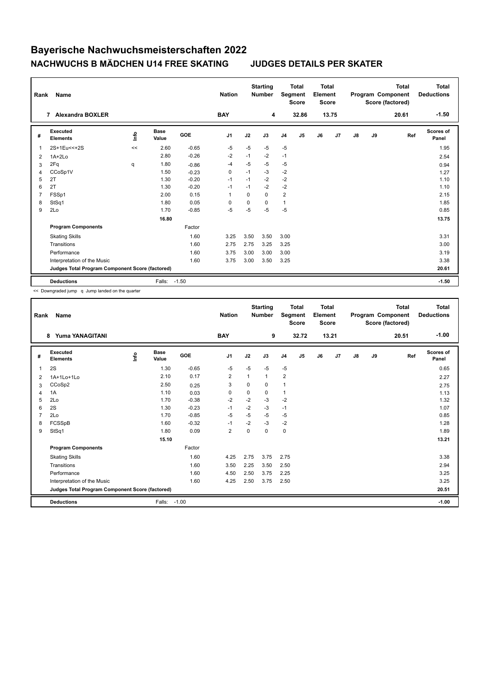| Rank           | <b>Name</b>                                     |    |                      |            | <b>Nation</b>  |          | <b>Starting</b><br><b>Number</b> | Segment        | <b>Total</b><br><b>Score</b> | <b>Total</b><br>Element<br><b>Score</b> |       |    |    | <b>Total</b><br>Program Component<br>Score (factored) | Total<br><b>Deductions</b> |
|----------------|-------------------------------------------------|----|----------------------|------------|----------------|----------|----------------------------------|----------------|------------------------------|-----------------------------------------|-------|----|----|-------------------------------------------------------|----------------------------|
|                | <b>Alexandra BOXLER</b><br>7                    |    |                      |            | <b>BAY</b>     |          | 4                                |                | 32.86                        |                                         | 13.75 |    |    | 20.61                                                 | $-1.50$                    |
| #              | Executed<br><b>Elements</b>                     | e  | <b>Base</b><br>Value | <b>GOE</b> | J <sub>1</sub> | J2       | J3                               | J <sub>4</sub> | J5                           | J6                                      | J7    | J8 | J9 | Ref                                                   | Scores of<br>Panel         |
| $\overline{1}$ | 2S+1Eu<<+2S                                     | << | 2.60                 | $-0.65$    | $-5$           | $-5$     | $-5$                             | $-5$           |                              |                                         |       |    |    |                                                       | 1.95                       |
| 2              | $1A+2Lo$                                        |    | 2.80                 | $-0.26$    | $-2$           | $-1$     | $-2$                             | $-1$           |                              |                                         |       |    |    |                                                       | 2.54                       |
| 3              | 2Fq                                             | q  | 1.80                 | $-0.86$    | -4             | $-5$     | $-5$                             | $-5$           |                              |                                         |       |    |    |                                                       | 0.94                       |
| 4              | CCoSp1V                                         |    | 1.50                 | $-0.23$    | $\mathbf 0$    | $-1$     | $-3$                             | $-2$           |                              |                                         |       |    |    |                                                       | 1.27                       |
| 5              | 2T                                              |    | 1.30                 | $-0.20$    | $-1$           | $-1$     | $-2$                             | $-2$           |                              |                                         |       |    |    |                                                       | 1.10                       |
| 6              | 2T                                              |    | 1.30                 | $-0.20$    | $-1$           | $-1$     | $-2$                             | $-2$           |                              |                                         |       |    |    |                                                       | 1.10                       |
| $\overline{7}$ | FSSp1                                           |    | 2.00                 | 0.15       | 1              | $\Omega$ | $\Omega$                         | $\overline{2}$ |                              |                                         |       |    |    |                                                       | 2.15                       |
| 8              | StSq1                                           |    | 1.80                 | 0.05       | 0              | $\Omega$ | $\Omega$                         | $\mathbf{1}$   |                              |                                         |       |    |    |                                                       | 1.85                       |
| 9              | 2Lo                                             |    | 1.70                 | $-0.85$    | $-5$           | $-5$     | $-5$                             | $-5$           |                              |                                         |       |    |    |                                                       | 0.85                       |
|                |                                                 |    | 16.80                |            |                |          |                                  |                |                              |                                         |       |    |    |                                                       | 13.75                      |
|                | <b>Program Components</b>                       |    |                      | Factor     |                |          |                                  |                |                              |                                         |       |    |    |                                                       |                            |
|                | <b>Skating Skills</b>                           |    |                      | 1.60       | 3.25           | 3.50     | 3.50                             | 3.00           |                              |                                         |       |    |    |                                                       | 3.31                       |
|                | Transitions                                     |    |                      | 1.60       | 2.75           | 2.75     | 3.25                             | 3.25           |                              |                                         |       |    |    |                                                       | 3.00                       |
|                | Performance                                     |    |                      | 1.60       | 3.75           | 3.00     | 3.00                             | 3.00           |                              |                                         |       |    |    |                                                       | 3.19                       |
|                | Interpretation of the Music                     |    |                      | 1.60       | 3.75           | 3.00     | 3.50                             | 3.25           |                              |                                         |       |    |    |                                                       | 3.38                       |
|                | Judges Total Program Component Score (factored) |    |                      |            |                |          |                                  |                |                              |                                         |       |    |    |                                                       | 20.61                      |
|                | <b>Deductions</b>                               |    | Falls:               | $-1.50$    |                |          |                                  |                |                              |                                         |       |    |    |                                                       | $-1.50$                    |

<< Downgraded jump q Jump landed on the quarter

| Rank           | Name                                            |      |                      |         | <b>Nation</b>  |             | <b>Starting</b><br><b>Number</b> |                | <b>Total</b><br>Segment<br><b>Score</b> | <b>Total</b><br>Element<br><b>Score</b> |       |               |    | <b>Total</b><br>Program Component<br>Score (factored) | <b>Total</b><br><b>Deductions</b> |
|----------------|-------------------------------------------------|------|----------------------|---------|----------------|-------------|----------------------------------|----------------|-----------------------------------------|-----------------------------------------|-------|---------------|----|-------------------------------------------------------|-----------------------------------|
|                | Yuma YANAGITANI<br>8                            |      |                      |         | <b>BAY</b>     |             | 9                                |                | 32.72                                   |                                         | 13.21 |               |    | 20.51                                                 | $-1.00$                           |
| #              | Executed<br><b>Elements</b>                     | lnfo | <b>Base</b><br>Value | GOE     | J <sub>1</sub> | J2          | J3                               | J <sub>4</sub> | J5                                      | J6                                      | J7    | $\mathsf{J}8$ | J9 | Ref                                                   | <b>Scores of</b><br>Panel         |
| 1              | 2S                                              |      | 1.30                 | $-0.65$ | $-5$           | $-5$        | $-5$                             | $-5$           |                                         |                                         |       |               |    |                                                       | 0.65                              |
| 2              | 1A+1Lo+1Lo                                      |      | 2.10                 | 0.17    | $\overline{2}$ |             | 1                                | $\overline{2}$ |                                         |                                         |       |               |    |                                                       | 2.27                              |
| 3              | CCoSp2                                          |      | 2.50                 | 0.25    | 3              | $\Omega$    | $\Omega$                         | $\overline{1}$ |                                         |                                         |       |               |    |                                                       | 2.75                              |
| $\overline{4}$ | 1A                                              |      | 1.10                 | 0.03    | $\mathbf 0$    | $\mathbf 0$ | $\Omega$                         | $\mathbf{1}$   |                                         |                                         |       |               |    |                                                       | 1.13                              |
| 5              | 2Lo                                             |      | 1.70                 | $-0.38$ | $-2$           | $-2$        | $-3$                             | $-2$           |                                         |                                         |       |               |    |                                                       | 1.32                              |
| 6              | 2S                                              |      | 1.30                 | $-0.23$ | $-1$           | $-2$        | $-3$                             | $-1$           |                                         |                                         |       |               |    |                                                       | 1.07                              |
| 7              | 2Lo                                             |      | 1.70                 | $-0.85$ | $-5$           | $-5$        | $-5$                             | $-5$           |                                         |                                         |       |               |    |                                                       | 0.85                              |
| 8              | FCSSpB                                          |      | 1.60                 | $-0.32$ | $-1$           | $-2$        | $-3$                             | $-2$           |                                         |                                         |       |               |    |                                                       | 1.28                              |
| 9              | StSq1                                           |      | 1.80                 | 0.09    | $\overline{2}$ | $\Omega$    | 0                                | $\pmb{0}$      |                                         |                                         |       |               |    |                                                       | 1.89                              |
|                |                                                 |      | 15.10                |         |                |             |                                  |                |                                         |                                         |       |               |    |                                                       | 13.21                             |
|                | <b>Program Components</b>                       |      |                      | Factor  |                |             |                                  |                |                                         |                                         |       |               |    |                                                       |                                   |
|                | <b>Skating Skills</b>                           |      |                      | 1.60    | 4.25           | 2.75        | 3.75                             | 2.75           |                                         |                                         |       |               |    |                                                       | 3.38                              |
|                | Transitions                                     |      |                      | 1.60    | 3.50           | 2.25        | 3.50                             | 2.50           |                                         |                                         |       |               |    |                                                       | 2.94                              |
|                | Performance                                     |      |                      | 1.60    | 4.50           | 2.50        | 3.75                             | 2.25           |                                         |                                         |       |               |    |                                                       | 3.25                              |
|                | Interpretation of the Music                     |      |                      | 1.60    | 4.25           | 2.50        | 3.75                             | 2.50           |                                         |                                         |       |               |    |                                                       | 3.25                              |
|                | Judges Total Program Component Score (factored) |      |                      |         |                |             |                                  |                |                                         |                                         |       |               |    |                                                       | 20.51                             |
|                | <b>Deductions</b>                               |      | Falls:               | $-1.00$ |                |             |                                  |                |                                         |                                         |       |               |    |                                                       | $-1.00$                           |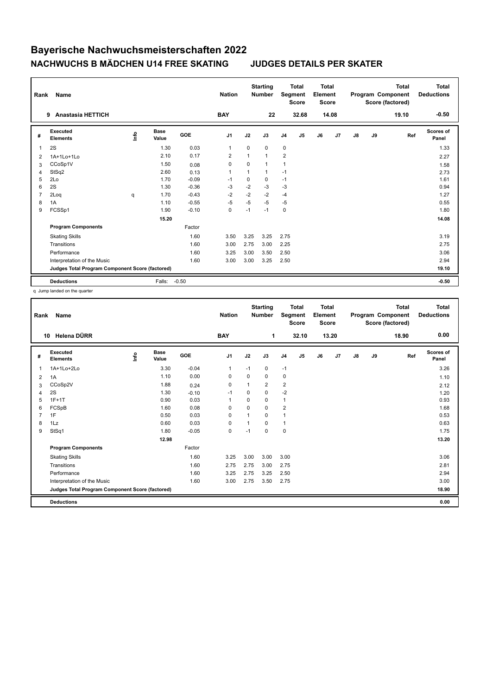| Rank           | <b>Name</b>                                     |      |                      |            | <b>Nation</b>  |          | <b>Starting</b><br><b>Number</b> | Segment        | <b>Total</b><br><b>Score</b> | Total<br>Element<br><b>Score</b> |                |    |    | <b>Total</b><br>Program Component<br>Score (factored) | Total<br><b>Deductions</b> |
|----------------|-------------------------------------------------|------|----------------------|------------|----------------|----------|----------------------------------|----------------|------------------------------|----------------------------------|----------------|----|----|-------------------------------------------------------|----------------------------|
|                | <b>Anastasia HETTICH</b><br>9                   |      |                      |            | <b>BAY</b>     |          | 22                               |                | 32.68                        |                                  | 14.08          |    |    | 19.10                                                 | $-0.50$                    |
| #              | Executed<br><b>Elements</b>                     | Info | <b>Base</b><br>Value | <b>GOE</b> | J <sub>1</sub> | J2       | J3                               | J <sub>4</sub> | J5                           | J6                               | J <sub>7</sub> | J8 | J9 | Ref                                                   | <b>Scores of</b><br>Panel  |
| $\overline{1}$ | 2S                                              |      | 1.30                 | 0.03       | $\mathbf{1}$   | $\Omega$ | 0                                | $\mathbf 0$    |                              |                                  |                |    |    |                                                       | 1.33                       |
| 2              | 1A+1Lo+1Lo                                      |      | 2.10                 | 0.17       | $\overline{2}$ | 1        | 1                                | $\overline{2}$ |                              |                                  |                |    |    |                                                       | 2.27                       |
| 3              | CCoSp1V                                         |      | 1.50                 | 0.08       | 0              | $\Omega$ | 1                                | $\mathbf{1}$   |                              |                                  |                |    |    |                                                       | 1.58                       |
| 4              | StSq2                                           |      | 2.60                 | 0.13       | $\overline{1}$ | 1        | 1                                | $-1$           |                              |                                  |                |    |    |                                                       | 2.73                       |
| 5              | 2Lo                                             |      | 1.70                 | $-0.09$    | $-1$           | 0        | 0                                | $-1$           |                              |                                  |                |    |    |                                                       | 1.61                       |
| 6              | 2S                                              |      | 1.30                 | $-0.36$    | $-3$           | $-2$     | $-3$                             | $-3$           |                              |                                  |                |    |    |                                                       | 0.94                       |
| $\overline{7}$ | 2Loq                                            | q    | 1.70                 | $-0.43$    | $-2$           | $-2$     | $-2$                             | $-4$           |                              |                                  |                |    |    |                                                       | 1.27                       |
| 8              | 1A                                              |      | 1.10                 | $-0.55$    | $-5$           | $-5$     | $-5$                             | $-5$           |                              |                                  |                |    |    |                                                       | 0.55                       |
| 9              | FCSSp1                                          |      | 1.90                 | $-0.10$    | 0              | $-1$     | $-1$                             | 0              |                              |                                  |                |    |    |                                                       | 1.80                       |
|                |                                                 |      | 15.20                |            |                |          |                                  |                |                              |                                  |                |    |    |                                                       | 14.08                      |
|                | <b>Program Components</b>                       |      |                      | Factor     |                |          |                                  |                |                              |                                  |                |    |    |                                                       |                            |
|                | <b>Skating Skills</b>                           |      |                      | 1.60       | 3.50           | 3.25     | 3.25                             | 2.75           |                              |                                  |                |    |    |                                                       | 3.19                       |
|                | Transitions                                     |      |                      | 1.60       | 3.00           | 2.75     | 3.00                             | 2.25           |                              |                                  |                |    |    |                                                       | 2.75                       |
|                | Performance                                     |      |                      | 1.60       | 3.25           | 3.00     | 3.50                             | 2.50           |                              |                                  |                |    |    |                                                       | 3.06                       |
|                | Interpretation of the Music                     |      |                      | 1.60       | 3.00           | 3.00     | 3.25                             | 2.50           |                              |                                  |                |    |    |                                                       | 2.94                       |
|                | Judges Total Program Component Score (factored) |      |                      |            |                |          |                                  |                |                              |                                  |                |    |    |                                                       | 19.10                      |
|                | <b>Deductions</b>                               |      | Falls:               | $-0.50$    |                |          |                                  |                |                              |                                  |                |    |    |                                                       | $-0.50$                    |

q Jump landed on the quarter

| Rank | Name                                            |      |                      |         | <b>Nation</b>  |          | <b>Starting</b><br><b>Number</b> |                | <b>Total</b><br>Segment<br><b>Score</b> | <b>Total</b><br>Element<br><b>Score</b> |       |               |    | <b>Total</b><br>Program Component<br>Score (factored) | <b>Total</b><br><b>Deductions</b> |
|------|-------------------------------------------------|------|----------------------|---------|----------------|----------|----------------------------------|----------------|-----------------------------------------|-----------------------------------------|-------|---------------|----|-------------------------------------------------------|-----------------------------------|
|      | Helena DÜRR<br>10                               |      |                      |         | <b>BAY</b>     |          | 1                                |                | 32.10                                   |                                         | 13.20 |               |    | 18.90                                                 | 0.00                              |
| #    | Executed<br><b>Elements</b>                     | Info | <b>Base</b><br>Value | GOE     | J <sub>1</sub> | J2       | J3                               | J <sub>4</sub> | J5                                      | J6                                      | J7    | $\mathsf{J}8$ | J9 | Ref                                                   | Scores of<br>Panel                |
| 1    | 1A+1Lo+2Lo                                      |      | 3.30                 | $-0.04$ | $\mathbf{1}$   | $-1$     | 0                                | $-1$           |                                         |                                         |       |               |    |                                                       | 3.26                              |
| 2    | 1A                                              |      | 1.10                 | 0.00    | $\Omega$       | $\Omega$ | $\Omega$                         | 0              |                                         |                                         |       |               |    |                                                       | 1.10                              |
| 3    | CCoSp2V                                         |      | 1.88                 | 0.24    | $\mathbf 0$    | 1        | $\overline{2}$                   | $\overline{2}$ |                                         |                                         |       |               |    |                                                       | 2.12                              |
| 4    | 2S                                              |      | 1.30                 | $-0.10$ | $-1$           | 0        | $\Omega$                         | $-2$           |                                         |                                         |       |               |    |                                                       | 1.20                              |
| 5    | $1F+1T$                                         |      | 0.90                 | 0.03    | $\overline{1}$ | 0        | 0                                | 1              |                                         |                                         |       |               |    |                                                       | 0.93                              |
| 6    | FCSpB                                           |      | 1.60                 | 0.08    | 0              | $\Omega$ | 0                                | $\overline{2}$ |                                         |                                         |       |               |    |                                                       | 1.68                              |
|      | 1F                                              |      | 0.50                 | 0.03    | 0              | 1        | $\Omega$                         | 1              |                                         |                                         |       |               |    |                                                       | 0.53                              |
| 8    | 1Lz                                             |      | 0.60                 | 0.03    | 0              | 1        | $\Omega$                         | 1              |                                         |                                         |       |               |    |                                                       | 0.63                              |
| 9    | StSq1                                           |      | 1.80                 | $-0.05$ | $\mathbf 0$    | $-1$     | 0                                | $\mathbf 0$    |                                         |                                         |       |               |    |                                                       | 1.75                              |
|      |                                                 |      | 12.98                |         |                |          |                                  |                |                                         |                                         |       |               |    |                                                       | 13.20                             |
|      | <b>Program Components</b>                       |      |                      | Factor  |                |          |                                  |                |                                         |                                         |       |               |    |                                                       |                                   |
|      | <b>Skating Skills</b>                           |      |                      | 1.60    | 3.25           | 3.00     | 3.00                             | 3.00           |                                         |                                         |       |               |    |                                                       | 3.06                              |
|      | Transitions                                     |      |                      | 1.60    | 2.75           | 2.75     | 3.00                             | 2.75           |                                         |                                         |       |               |    |                                                       | 2.81                              |
|      | Performance                                     |      |                      | 1.60    | 3.25           | 2.75     | 3.25                             | 2.50           |                                         |                                         |       |               |    |                                                       | 2.94                              |
|      | Interpretation of the Music                     |      |                      | 1.60    | 3.00           | 2.75     | 3.50                             | 2.75           |                                         |                                         |       |               |    |                                                       | 3.00                              |
|      | Judges Total Program Component Score (factored) |      |                      |         |                |          |                                  |                |                                         |                                         |       |               |    |                                                       | 18.90                             |
|      | <b>Deductions</b>                               |      |                      |         |                |          |                                  |                |                                         |                                         |       |               |    |                                                       | 0.00                              |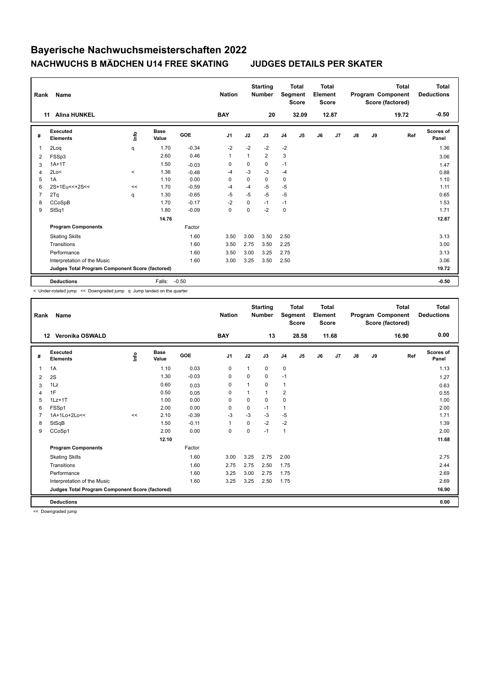| Rank           | <b>Name</b>                                     |         |                      |            | <b>Nation</b>  |          | <b>Starting</b><br><b>Number</b> | Segment        | <b>Total</b><br><b>Score</b> | Total<br>Element<br><b>Score</b> |                |    |    | <b>Total</b><br>Program Component<br>Score (factored) | Total<br><b>Deductions</b> |
|----------------|-------------------------------------------------|---------|----------------------|------------|----------------|----------|----------------------------------|----------------|------------------------------|----------------------------------|----------------|----|----|-------------------------------------------------------|----------------------------|
|                | <b>Alina HUNKEL</b><br>11                       |         |                      |            | <b>BAY</b>     |          | 20                               |                | 32.09                        |                                  | 12.87          |    |    | 19.72                                                 | $-0.50$                    |
| #              | Executed<br><b>Elements</b>                     | ١nfo    | <b>Base</b><br>Value | <b>GOE</b> | J <sub>1</sub> | J2       | J3                               | J <sub>4</sub> | J5                           | J6                               | J <sub>7</sub> | J8 | J9 | Ref                                                   | <b>Scores of</b><br>Panel  |
| 1              | 2Loq                                            | q       | 1.70                 | $-0.34$    | $-2$           | $-2$     | $-2$                             | $-2$           |                              |                                  |                |    |    |                                                       | 1.36                       |
| 2              | FSSp3                                           |         | 2.60                 | 0.46       | $\mathbf{1}$   | 1        | 2                                | 3              |                              |                                  |                |    |    |                                                       | 3.06                       |
| 3              | $1A+1T$                                         |         | 1.50                 | $-0.03$    | 0              | 0        | 0                                | $-1$           |                              |                                  |                |    |    |                                                       | 1.47                       |
| 4              | 2Lo<                                            | $\prec$ | 1.36                 | $-0.48$    | -4             | $-3$     | $-3$                             | $-4$           |                              |                                  |                |    |    |                                                       | 0.88                       |
| 5              | 1A                                              |         | 1.10                 | 0.00       | 0              | 0        | 0                                | 0              |                              |                                  |                |    |    |                                                       | 1.10                       |
| 6              | 2S+1Eu<<+2S<<                                   | $\,<$   | 1.70                 | $-0.59$    | $-4$           | $-4$     | $-5$                             | $-5$           |                              |                                  |                |    |    |                                                       | 1.11                       |
| $\overline{7}$ | 2Tq                                             | q       | 1.30                 | $-0.65$    | $-5$           | $-5$     | $-5$                             | $-5$           |                              |                                  |                |    |    |                                                       | 0.65                       |
| 8              | CCoSpB                                          |         | 1.70                 | $-0.17$    | $-2$           | $\Omega$ | $-1$                             | $-1$           |                              |                                  |                |    |    |                                                       | 1.53                       |
| 9              | StSq1                                           |         | 1.80                 | $-0.09$    | 0              | 0        | $-2$                             | $\mathbf 0$    |                              |                                  |                |    |    |                                                       | 1.71                       |
|                |                                                 |         | 14.76                |            |                |          |                                  |                |                              |                                  |                |    |    |                                                       | 12.87                      |
|                | <b>Program Components</b>                       |         |                      | Factor     |                |          |                                  |                |                              |                                  |                |    |    |                                                       |                            |
|                | <b>Skating Skills</b>                           |         |                      | 1.60       | 3.50           | 3.00     | 3.50                             | 2.50           |                              |                                  |                |    |    |                                                       | 3.13                       |
|                | Transitions                                     |         |                      | 1.60       | 3.50           | 2.75     | 3.50                             | 2.25           |                              |                                  |                |    |    |                                                       | 3.00                       |
|                | Performance                                     |         |                      | 1.60       | 3.50           | 3.00     | 3.25                             | 2.75           |                              |                                  |                |    |    |                                                       | 3.13                       |
|                | Interpretation of the Music                     |         |                      | 1.60       | 3.00           | 3.25     | 3.50                             | 2.50           |                              |                                  |                |    |    |                                                       | 3.06                       |
|                | Judges Total Program Component Score (factored) |         |                      |            |                |          |                                  |                |                              |                                  |                |    |    |                                                       | 19.72                      |
|                | <b>Deductions</b>                               |         | Falls:               | $-0.50$    |                |          |                                  |                |                              |                                  |                |    |    |                                                       | $-0.50$                    |

< Under-rotated jump << Downgraded jump q Jump landed on the quarter

| Rank | <b>Name</b>                                     |       |                      |         | <b>Nation</b> |             | <b>Starting</b><br><b>Number</b> |                | <b>Total</b><br>Segment<br><b>Score</b> | <b>Total</b><br>Element<br><b>Score</b> |       |               |    | <b>Total</b><br>Program Component<br>Score (factored) | <b>Total</b><br><b>Deductions</b> |
|------|-------------------------------------------------|-------|----------------------|---------|---------------|-------------|----------------------------------|----------------|-----------------------------------------|-----------------------------------------|-------|---------------|----|-------------------------------------------------------|-----------------------------------|
|      | Veronika OSWALD<br>$12 \,$                      |       |                      |         | <b>BAY</b>    |             | 13                               |                | 28.58                                   |                                         | 11.68 |               |    | 16.90                                                 | 0.00                              |
| #    | Executed<br><b>Elements</b>                     | ۴ů    | <b>Base</b><br>Value | GOE     | J1            | J2          | J3                               | J4             | J5                                      | J6                                      | J7    | $\mathsf{J}8$ | J9 | Ref                                                   | <b>Scores of</b><br>Panel         |
| 1    | 1A                                              |       | 1.10                 | 0.03    | 0             | 1           | 0                                | $\pmb{0}$      |                                         |                                         |       |               |    |                                                       | 1.13                              |
| 2    | 2S                                              |       | 1.30                 | $-0.03$ | 0             | 0           | 0                                | $-1$           |                                         |                                         |       |               |    |                                                       | 1.27                              |
| 3    | 1Lz                                             |       | 0.60                 | 0.03    | 0             |             | 0                                | $\mathbf{1}$   |                                         |                                         |       |               |    |                                                       | 0.63                              |
| 4    | 1F                                              |       | 0.50                 | 0.05    | $\Omega$      | 1           | $\mathbf{1}$                     | $\overline{2}$ |                                         |                                         |       |               |    |                                                       | 0.55                              |
| 5    | $1Lz+1T$                                        |       | 1.00                 | 0.00    | $\mathbf 0$   | $\mathbf 0$ | $\mathbf 0$                      | $\mathbf 0$    |                                         |                                         |       |               |    |                                                       | 1.00                              |
| 6    | FSSp1                                           |       | 2.00                 | 0.00    | $\Omega$      | $\Omega$    | $-1$                             | $\mathbf{1}$   |                                         |                                         |       |               |    |                                                       | 2.00                              |
|      | 1A+1Lo+2Lo<<                                    | $\,<$ | 2.10                 | $-0.39$ | $-3$          | $-3$        | $-3$                             | -5             |                                         |                                         |       |               |    |                                                       | 1.71                              |
| 8    | StSqB                                           |       | 1.50                 | $-0.11$ | $\mathbf{1}$  | $\Omega$    | $-2$                             | $-2$           |                                         |                                         |       |               |    |                                                       | 1.39                              |
| 9    | CCoSp1                                          |       | 2.00                 | 0.00    | $\mathbf 0$   | 0           | $-1$                             | $\mathbf{1}$   |                                         |                                         |       |               |    |                                                       | 2.00                              |
|      |                                                 |       | 12.10                |         |               |             |                                  |                |                                         |                                         |       |               |    |                                                       | 11.68                             |
|      | <b>Program Components</b>                       |       |                      | Factor  |               |             |                                  |                |                                         |                                         |       |               |    |                                                       |                                   |
|      | <b>Skating Skills</b>                           |       |                      | 1.60    | 3.00          | 3.25        | 2.75                             | 2.00           |                                         |                                         |       |               |    |                                                       | 2.75                              |
|      | Transitions                                     |       |                      | 1.60    | 2.75          | 2.75        | 2.50                             | 1.75           |                                         |                                         |       |               |    |                                                       | 2.44                              |
|      | Performance                                     |       |                      | 1.60    | 3.25          | 3.00        | 2.75                             | 1.75           |                                         |                                         |       |               |    |                                                       | 2.69                              |
|      | Interpretation of the Music                     |       |                      | 1.60    | 3.25          | 3.25        | 2.50                             | 1.75           |                                         |                                         |       |               |    |                                                       | 2.69                              |
|      | Judges Total Program Component Score (factored) |       |                      |         |               |             |                                  |                |                                         |                                         |       |               |    |                                                       | 16.90                             |
|      | <b>Deductions</b>                               |       |                      |         |               |             |                                  |                |                                         |                                         |       |               |    |                                                       | 0.00                              |

<< Downgraded jump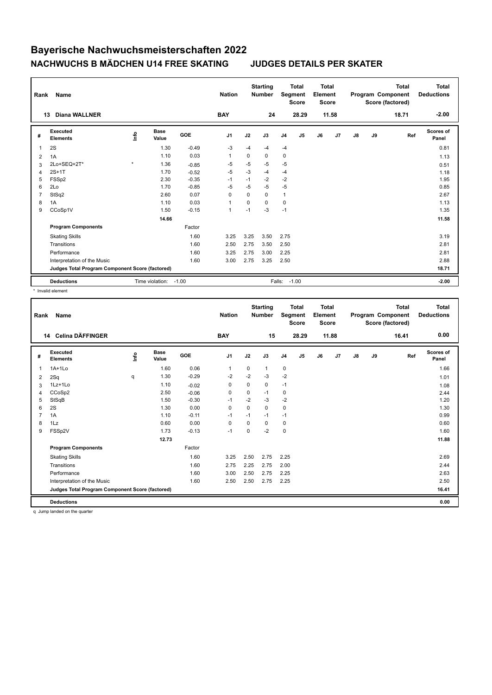| Rank           | Name                                            |         |                      |            | <b>Nation</b>  |          | <b>Starting</b><br><b>Number</b> | Segment        | <b>Total</b><br><b>Score</b> | <b>Total</b><br>Element<br><b>Score</b> |       |               |    | <b>Total</b><br>Program Component<br>Score (factored) | <b>Total</b><br><b>Deductions</b> |
|----------------|-------------------------------------------------|---------|----------------------|------------|----------------|----------|----------------------------------|----------------|------------------------------|-----------------------------------------|-------|---------------|----|-------------------------------------------------------|-----------------------------------|
| 13             | <b>Diana WALLNER</b>                            |         |                      |            | <b>BAY</b>     |          | 24                               |                | 28.29                        |                                         | 11.58 |               |    | 18.71                                                 | $-2.00$                           |
| #              | <b>Executed</b><br><b>Elements</b>              | lnfo    | <b>Base</b><br>Value | <b>GOE</b> | J <sub>1</sub> | J2       | J3                               | J <sub>4</sub> | J5                           | J6                                      | J7    | $\mathsf{J}8$ | J9 | Ref                                                   | Scores of<br>Panel                |
| $\overline{1}$ | 2S                                              |         | 1.30                 | $-0.49$    | -3             | -4       | $-4$                             | $-4$           |                              |                                         |       |               |    |                                                       | 0.81                              |
| 2              | 1A                                              |         | 1.10                 | 0.03       | 1              | 0        | 0                                | 0              |                              |                                         |       |               |    |                                                       | 1.13                              |
| 3              | 2Lo+SEQ+2T*                                     | $\star$ | 1.36                 | $-0.85$    | $-5$           | $-5$     | $-5$                             | $-5$           |                              |                                         |       |               |    |                                                       | 0.51                              |
| 4              | $2S+1T$                                         |         | 1.70                 | $-0.52$    | $-5$           | $-3$     | $-4$                             | $-4$           |                              |                                         |       |               |    |                                                       | 1.18                              |
| 5              | FSSp2                                           |         | 2.30                 | $-0.35$    | $-1$           | $-1$     | $-2$                             | $-2$           |                              |                                         |       |               |    |                                                       | 1.95                              |
| 6              | 2Lo                                             |         | 1.70                 | $-0.85$    | $-5$           | $-5$     | $-5$                             | $-5$           |                              |                                         |       |               |    |                                                       | 0.85                              |
| $\overline{7}$ | StSq2                                           |         | 2.60                 | 0.07       | $\mathbf 0$    | $\Omega$ | $\Omega$                         | $\mathbf{1}$   |                              |                                         |       |               |    |                                                       | 2.67                              |
| 8              | 1A                                              |         | 1.10                 | 0.03       | $\mathbf{1}$   | $\Omega$ | 0                                | 0              |                              |                                         |       |               |    |                                                       | 1.13                              |
| 9              | CCoSp1V                                         |         | 1.50                 | $-0.15$    | 1              | $-1$     | $-3$                             | $-1$           |                              |                                         |       |               |    |                                                       | 1.35                              |
|                |                                                 |         | 14.66                |            |                |          |                                  |                |                              |                                         |       |               |    |                                                       | 11.58                             |
|                | <b>Program Components</b>                       |         |                      | Factor     |                |          |                                  |                |                              |                                         |       |               |    |                                                       |                                   |
|                | <b>Skating Skills</b>                           |         |                      | 1.60       | 3.25           | 3.25     | 3.50                             | 2.75           |                              |                                         |       |               |    |                                                       | 3.19                              |
|                | Transitions                                     |         |                      | 1.60       | 2.50           | 2.75     | 3.50                             | 2.50           |                              |                                         |       |               |    |                                                       | 2.81                              |
|                | Performance                                     |         |                      | 1.60       | 3.25           | 2.75     | 3.00                             | 2.25           |                              |                                         |       |               |    |                                                       | 2.81                              |
|                | Interpretation of the Music                     |         |                      | 1.60       | 3.00           | 2.75     | 3.25                             | 2.50           |                              |                                         |       |               |    |                                                       | 2.88                              |
|                | Judges Total Program Component Score (factored) |         |                      |            |                |          |                                  |                |                              |                                         |       |               |    |                                                       | 18.71                             |
|                | <b>Deductions</b>                               |         | Time violation:      | $-1.00$    |                |          | Falls:                           |                | $-1.00$                      |                                         |       |               |    |                                                       | $-2.00$                           |

\* Invalid element

| Rank           | <b>Name</b>                                     |      |                      |            | <b>Nation</b>  |          | <b>Starting</b><br><b>Number</b> | Segment        | <b>Total</b><br><b>Score</b> | <b>Total</b><br>Element<br><b>Score</b> |       |               |    | <b>Total</b><br>Program Component<br>Score (factored) | <b>Total</b><br><b>Deductions</b> |
|----------------|-------------------------------------------------|------|----------------------|------------|----------------|----------|----------------------------------|----------------|------------------------------|-----------------------------------------|-------|---------------|----|-------------------------------------------------------|-----------------------------------|
|                | 14 Celina DÄFFINGER                             |      |                      |            | <b>BAY</b>     |          | 15                               |                | 28.29                        |                                         | 11.88 |               |    | 16.41                                                 | 0.00                              |
| #              | Executed<br><b>Elements</b>                     | lnfo | <b>Base</b><br>Value | <b>GOE</b> | J <sub>1</sub> | J2       | J3                               | J <sub>4</sub> | J5                           | J6                                      | J7    | $\mathsf{J}8$ | J9 | Ref                                                   | <b>Scores of</b><br>Panel         |
| 1              | $1A+1Lo$                                        |      | 1.60                 | 0.06       | $\mathbf{1}$   | 0        | $\mathbf{1}$                     | 0              |                              |                                         |       |               |    |                                                       | 1.66                              |
| 2              | 2Sq                                             | q    | 1.30                 | $-0.29$    | $-2$           | $-2$     | $-3$                             | $-2$           |                              |                                         |       |               |    |                                                       | 1.01                              |
| 3              | 1Lz+1Lo                                         |      | 1.10                 | $-0.02$    | 0              | 0        | 0                                | $-1$           |                              |                                         |       |               |    |                                                       | 1.08                              |
| 4              | CCoSp2                                          |      | 2.50                 | $-0.06$    | 0              | 0        | $-1$                             | 0              |                              |                                         |       |               |    |                                                       | 2.44                              |
| 5              | StSqB                                           |      | 1.50                 | $-0.30$    | $-1$           | $-2$     | $-3$                             | $-2$           |                              |                                         |       |               |    |                                                       | 1.20                              |
| 6              | 2S                                              |      | 1.30                 | 0.00       | $\Omega$       | $\Omega$ | $\Omega$                         | 0              |                              |                                         |       |               |    |                                                       | 1.30                              |
| $\overline{7}$ | 1A                                              |      | 1.10                 | $-0.11$    | $-1$           | $-1$     | $-1$                             | $-1$           |                              |                                         |       |               |    |                                                       | 0.99                              |
| 8              | 1Lz                                             |      | 0.60                 | 0.00       | 0              | $\Omega$ | $\Omega$                         | 0              |                              |                                         |       |               |    |                                                       | 0.60                              |
| 9              | FSSp2V                                          |      | 1.73                 | $-0.13$    | $-1$           | 0        | $-2$                             | $\pmb{0}$      |                              |                                         |       |               |    |                                                       | 1.60                              |
|                |                                                 |      | 12.73                |            |                |          |                                  |                |                              |                                         |       |               |    |                                                       | 11.88                             |
|                | <b>Program Components</b>                       |      |                      | Factor     |                |          |                                  |                |                              |                                         |       |               |    |                                                       |                                   |
|                | <b>Skating Skills</b>                           |      |                      | 1.60       | 3.25           | 2.50     | 2.75                             | 2.25           |                              |                                         |       |               |    |                                                       | 2.69                              |
|                | Transitions                                     |      |                      | 1.60       | 2.75           | 2.25     | 2.75                             | 2.00           |                              |                                         |       |               |    |                                                       | 2.44                              |
|                | Performance                                     |      |                      | 1.60       | 3.00           | 2.50     | 2.75                             | 2.25           |                              |                                         |       |               |    |                                                       | 2.63                              |
|                | Interpretation of the Music                     |      |                      | 1.60       | 2.50           | 2.50     | 2.75                             | 2.25           |                              |                                         |       |               |    |                                                       | 2.50                              |
|                | Judges Total Program Component Score (factored) |      |                      |            |                |          |                                  |                |                              |                                         |       |               |    |                                                       | 16.41                             |
|                | <b>Deductions</b>                               |      |                      |            |                |          |                                  |                |                              |                                         |       |               |    |                                                       | 0.00                              |

q Jump landed on the quarter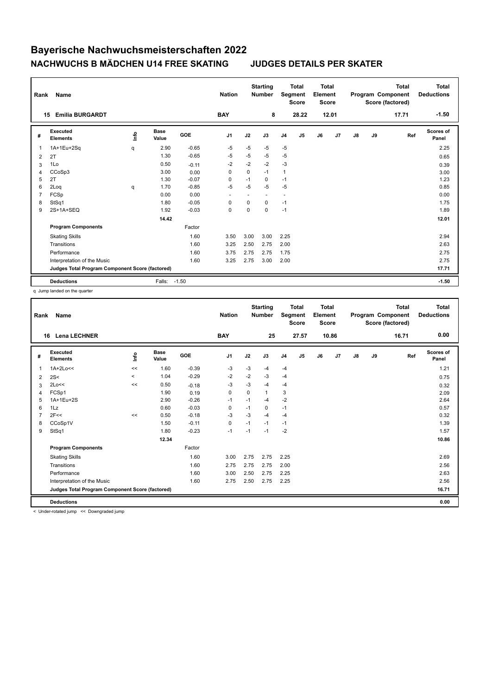| Rank           | <b>Name</b>                                     |      |                      |            | <b>Nation</b>            |          | <b>Starting</b><br><b>Number</b> | Segment        | <b>Total</b><br><b>Score</b> | Total<br>Element<br><b>Score</b> |       |    |    | <b>Total</b><br>Program Component<br>Score (factored) | Total<br><b>Deductions</b> |
|----------------|-------------------------------------------------|------|----------------------|------------|--------------------------|----------|----------------------------------|----------------|------------------------------|----------------------------------|-------|----|----|-------------------------------------------------------|----------------------------|
|                | <b>Emilia BURGARDT</b><br>15                    |      |                      |            | <b>BAY</b>               |          | 8                                |                | 28.22                        |                                  | 12.01 |    |    | 17.71                                                 | $-1.50$                    |
| #              | Executed<br><b>Elements</b>                     | ١nf٥ | <b>Base</b><br>Value | <b>GOE</b> | J <sub>1</sub>           | J2       | J3                               | J <sub>4</sub> | J5                           | J6                               | J7    | J8 | J9 | Ref                                                   | Scores of<br>Panel         |
| $\overline{1}$ | 1A+1Eu+2Sq                                      | q    | 2.90                 | $-0.65$    | $-5$                     | $-5$     | $-5$                             | $-5$           |                              |                                  |       |    |    |                                                       | 2.25                       |
| 2              | 2T                                              |      | 1.30                 | $-0.65$    | -5                       | $-5$     | $-5$                             | -5             |                              |                                  |       |    |    |                                                       | 0.65                       |
| 3              | 1Lo                                             |      | 0.50                 | $-0.11$    | $-2$                     | $-2$     | $-2$                             | $-3$           |                              |                                  |       |    |    |                                                       | 0.39                       |
| 4              | CCoSp3                                          |      | 3.00                 | 0.00       | 0                        | 0        | $-1$                             | $\mathbf{1}$   |                              |                                  |       |    |    |                                                       | 3.00                       |
| 5              | 2T                                              |      | 1.30                 | $-0.07$    | 0                        | $-1$     | 0                                | $-1$           |                              |                                  |       |    |    |                                                       | 1.23                       |
| 6              | 2Log                                            | q    | 1.70                 | $-0.85$    | $-5$                     | $-5$     | $-5$                             | $-5$           |                              |                                  |       |    |    |                                                       | 0.85                       |
| $\overline{7}$ | FCSp                                            |      | 0.00                 | 0.00       | $\overline{\phantom{a}}$ |          |                                  | ٠              |                              |                                  |       |    |    |                                                       | 0.00                       |
| 8              | StSq1                                           |      | 1.80                 | $-0.05$    | 0                        | $\Omega$ | 0                                | $-1$           |                              |                                  |       |    |    |                                                       | 1.75                       |
| 9              | 2S+1A+SEQ                                       |      | 1.92                 | $-0.03$    | $\mathbf 0$              | 0        | 0                                | $-1$           |                              |                                  |       |    |    |                                                       | 1.89                       |
|                |                                                 |      | 14.42                |            |                          |          |                                  |                |                              |                                  |       |    |    |                                                       | 12.01                      |
|                | <b>Program Components</b>                       |      |                      | Factor     |                          |          |                                  |                |                              |                                  |       |    |    |                                                       |                            |
|                | <b>Skating Skills</b>                           |      |                      | 1.60       | 3.50                     | 3.00     | 3.00                             | 2.25           |                              |                                  |       |    |    |                                                       | 2.94                       |
|                | Transitions                                     |      |                      | 1.60       | 3.25                     | 2.50     | 2.75                             | 2.00           |                              |                                  |       |    |    |                                                       | 2.63                       |
|                | Performance                                     |      |                      | 1.60       | 3.75                     | 2.75     | 2.75                             | 1.75           |                              |                                  |       |    |    |                                                       | 2.75                       |
|                | Interpretation of the Music                     |      |                      | 1.60       | 3.25                     | 2.75     | 3.00                             | 2.00           |                              |                                  |       |    |    |                                                       | 2.75                       |
|                | Judges Total Program Component Score (factored) |      |                      |            |                          |          |                                  |                |                              |                                  |       |    |    |                                                       | 17.71                      |
|                | <b>Deductions</b>                               |      | Falls:               | $-1.50$    |                          |          |                                  |                |                              |                                  |       |    |    |                                                       | $-1.50$                    |

q Jump landed on the quarter

| Rank | Name                                            |         |                      |         | <b>Nation</b> |             | <b>Starting</b><br><b>Number</b> |                | <b>Total</b><br>Segment<br><b>Score</b> | <b>Total</b><br>Element<br><b>Score</b> |       |               |    | Total<br>Program Component<br>Score (factored) | <b>Total</b><br><b>Deductions</b> |
|------|-------------------------------------------------|---------|----------------------|---------|---------------|-------------|----------------------------------|----------------|-----------------------------------------|-----------------------------------------|-------|---------------|----|------------------------------------------------|-----------------------------------|
| 16   | <b>Lena LECHNER</b>                             |         |                      |         | <b>BAY</b>    |             | 25                               |                | 27.57                                   |                                         | 10.86 |               |    | 16.71                                          | 0.00                              |
| #    | Executed<br><b>Elements</b>                     | ١nto    | <b>Base</b><br>Value | GOE     | J1            | J2          | J3                               | J <sub>4</sub> | J5                                      | J6                                      | J7    | $\mathsf{J}8$ | J9 | Ref                                            | <b>Scores of</b><br>Panel         |
| 1    | $1A+2Lo<<$                                      | $\,<$   | 1.60                 | $-0.39$ | -3            | $-3$        | $-4$                             | $-4$           |                                         |                                         |       |               |    |                                                | 1.21                              |
| 2    | 2S<                                             | $\prec$ | 1.04                 | $-0.29$ | -2            | $-2$        | $-3$                             | $-4$           |                                         |                                         |       |               |    |                                                | 0.75                              |
| 3    | 2Lo<<                                           | <<      | 0.50                 | $-0.18$ | -3            | $-3$        | $-4$                             | $-4$           |                                         |                                         |       |               |    |                                                | 0.32                              |
| 4    | FCSp1                                           |         | 1.90                 | 0.19    | $\mathbf 0$   | $\mathbf 0$ | $\mathbf{1}$                     | 3              |                                         |                                         |       |               |    |                                                | 2.09                              |
| 5    | 1A+1Eu+2S                                       |         | 2.90                 | $-0.26$ | $-1$          | $-1$        | $-4$                             | $-2$           |                                         |                                         |       |               |    |                                                | 2.64                              |
| 6    | 1Lz                                             |         | 0.60                 | $-0.03$ | 0             | $-1$        | 0                                | $-1$           |                                         |                                         |       |               |    |                                                | 0.57                              |
|      | 2F<<                                            | <<      | 0.50                 | $-0.18$ | -3            | $-3$        | $-4$                             | $-4$           |                                         |                                         |       |               |    |                                                | 0.32                              |
| 8    | CCoSp1V                                         |         | 1.50                 | $-0.11$ | $\mathbf 0$   | $-1$        | $-1$                             | $-1$           |                                         |                                         |       |               |    |                                                | 1.39                              |
| 9    | StSq1                                           |         | 1.80                 | $-0.23$ | $-1$          | $-1$        | $-1$                             | $-2$           |                                         |                                         |       |               |    |                                                | 1.57                              |
|      |                                                 |         | 12.34                |         |               |             |                                  |                |                                         |                                         |       |               |    |                                                | 10.86                             |
|      | <b>Program Components</b>                       |         |                      | Factor  |               |             |                                  |                |                                         |                                         |       |               |    |                                                |                                   |
|      | <b>Skating Skills</b>                           |         |                      | 1.60    | 3.00          | 2.75        | 2.75                             | 2.25           |                                         |                                         |       |               |    |                                                | 2.69                              |
|      | Transitions                                     |         |                      | 1.60    | 2.75          | 2.75        | 2.75                             | 2.00           |                                         |                                         |       |               |    |                                                | 2.56                              |
|      | Performance                                     |         |                      | 1.60    | 3.00          | 2.50        | 2.75                             | 2.25           |                                         |                                         |       |               |    |                                                | 2.63                              |
|      | Interpretation of the Music                     |         |                      | 1.60    | 2.75          | 2.50        | 2.75                             | 2.25           |                                         |                                         |       |               |    |                                                | 2.56                              |
|      | Judges Total Program Component Score (factored) |         |                      |         |               |             |                                  |                |                                         |                                         |       |               |    |                                                | 16.71                             |
|      | <b>Deductions</b>                               |         |                      |         |               |             |                                  |                |                                         |                                         |       |               |    |                                                | 0.00                              |

< Under-rotated jump << Downgraded jump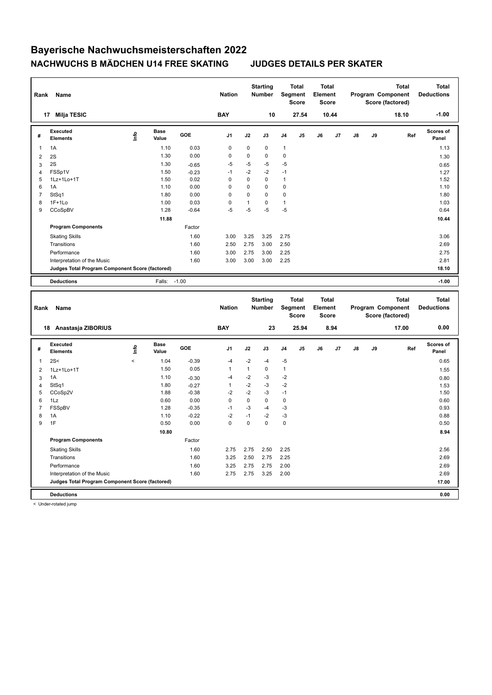| Rank                | Name                                            |                          |                      |                    | <b>Nation</b>  |              | <b>Starting</b><br>Number |              | <b>Total</b><br><b>Segment</b><br><b>Score</b> | <b>Total</b><br>Element<br><b>Score</b> |       |    |    | Program Component<br>Score (factored) | <b>Total</b> | <b>Total</b><br><b>Deductions</b> |
|---------------------|-------------------------------------------------|--------------------------|----------------------|--------------------|----------------|--------------|---------------------------|--------------|------------------------------------------------|-----------------------------------------|-------|----|----|---------------------------------------|--------------|-----------------------------------|
|                     | 17 Milja TESIC                                  |                          |                      |                    | <b>BAY</b>     |              | 10                        |              | 27.54                                          |                                         | 10.44 |    |    | 18.10                                 |              | $-1.00$                           |
| #                   | <b>Executed</b><br>Elements                     | ۴                        | <b>Base</b><br>Value | GOE                | J <sub>1</sub> | J2           | J3                        | J4           | J5                                             | J6                                      | J7    | J8 | J9 |                                       | Ref          | <b>Scores of</b><br>Panel         |
| 1                   | 1A                                              |                          | 1.10                 | 0.03               | $\pmb{0}$      | $\pmb{0}$    | $\mathbf 0$               | 1            |                                                |                                         |       |    |    |                                       |              | 1.13                              |
| $\overline{c}$      | 2S                                              |                          | 1.30                 | 0.00               | 0              | 0            | $\mathbf 0$               | $\mathbf 0$  |                                                |                                         |       |    |    |                                       |              | 1.30                              |
| 3                   | 2S                                              |                          | 1.30                 | $-0.65$            | $-5$           | $-5$         | $-5$                      | $-5$         |                                                |                                         |       |    |    |                                       |              | 0.65                              |
| $\overline{4}$      | FSSp1V                                          |                          | 1.50                 | $-0.23$            | $-1$           | $-2$         | $-2$                      | $-1$         |                                                |                                         |       |    |    |                                       |              | 1.27                              |
| 5                   | 1Lz+1Lo+1T                                      |                          | 1.50                 | 0.02               | $\pmb{0}$      | 0            | 0                         | 1            |                                                |                                         |       |    |    |                                       |              | 1.52                              |
| 6                   | 1A                                              |                          | 1.10                 | 0.00               | $\Omega$       | 0            | $\Omega$                  | $\Omega$     |                                                |                                         |       |    |    |                                       |              | 1.10                              |
| $\overline{7}$      | StSq1                                           |                          | 1.80                 | 0.00               | 0              | 0            | $\mathbf 0$               | 0            |                                                |                                         |       |    |    |                                       |              | 1.80                              |
| 8                   | $1F+1Lo$                                        |                          | 1.00                 | 0.03               | 0              | $\mathbf{1}$ | $\mathbf 0$               | $\mathbf{1}$ |                                                |                                         |       |    |    |                                       |              | 1.03                              |
| 9                   | CCoSpBV                                         |                          | 1.28                 | $-0.64$            | $-5$           | $-5$         | $-5$                      | $-5$         |                                                |                                         |       |    |    |                                       |              | 0.64                              |
|                     |                                                 |                          | 11.88                |                    |                |              |                           |              |                                                |                                         |       |    |    |                                       |              | 10.44                             |
|                     | <b>Program Components</b>                       |                          |                      | Factor             |                |              |                           |              |                                                |                                         |       |    |    |                                       |              |                                   |
|                     | <b>Skating Skills</b>                           |                          |                      | 1.60               | 3.00           | 3.25         | 3.25                      | 2.75         |                                                |                                         |       |    |    |                                       |              | 3.06                              |
|                     | Transitions                                     |                          |                      | 1.60               | 2.50           | 2.75         | 3.00                      | 2.50         |                                                |                                         |       |    |    |                                       |              | 2.69                              |
|                     | Performance                                     |                          |                      | 1.60               | 3.00           | 2.75         | 3.00                      | 2.25         |                                                |                                         |       |    |    |                                       |              | 2.75                              |
|                     | Interpretation of the Music                     |                          |                      | 1.60               | 3.00           | 3.00         | 3.00                      | 2.25         |                                                |                                         |       |    |    |                                       |              | 2.81                              |
|                     | Judges Total Program Component Score (factored) |                          |                      |                    |                |              |                           |              |                                                |                                         |       |    |    |                                       |              | 18.10                             |
|                     | <b>Deductions</b>                               |                          | Falls:               | $-1.00$            |                |              |                           |              |                                                |                                         |       |    |    |                                       |              | $-1.00$                           |
|                     |                                                 |                          |                      |                    |                |              |                           |              |                                                |                                         |       |    |    |                                       |              |                                   |
|                     |                                                 |                          |                      |                    |                |              |                           |              |                                                |                                         |       |    |    |                                       |              |                                   |
| Rank                | Name                                            |                          |                      |                    | <b>Nation</b>  |              | <b>Starting</b><br>Number |              | <b>Total</b><br>Segment<br><b>Score</b>        | <b>Total</b><br>Element<br><b>Score</b> |       |    |    | Program Component<br>Score (factored) | <b>Total</b> | <b>Total</b><br><b>Deductions</b> |
|                     | 18 Anastasja ZIBORIUS                           |                          |                      |                    | <b>BAY</b>     |              | 23                        |              | 25.94                                          |                                         | 8.94  |    |    | 17.00                                 |              | 0.00                              |
| #                   | <b>Executed</b><br><b>Elements</b>              | Life                     | <b>Base</b><br>Value | GOE                | J <sub>1</sub> | J2           | J3                        | J4           | J5                                             | J6                                      | J7    | J8 | J9 |                                       | Ref          | Scores of<br>Panel                |
| $\mathbf{1}$        | 2S<                                             | $\overline{\phantom{a}}$ | 1.04                 | $-0.39$            | $-4$           | $-2$         | $-4$                      | $-5$         |                                                |                                         |       |    |    |                                       |              | 0.65                              |
| $\overline{2}$      | 1Lz+1Lo+1T                                      |                          | 1.50                 | 0.05               | $\mathbf{1}$   | $\mathbf{1}$ | $\mathbf 0$               | $\mathbf{1}$ |                                                |                                         |       |    |    |                                       |              | 1.55                              |
|                     | 1A                                              |                          | 1.10                 |                    | $-4$           | $-2$         | -3                        | $-2$         |                                                |                                         |       |    |    |                                       |              |                                   |
| 3<br>$\overline{4}$ | StSq1                                           |                          | 1.80                 | $-0.30$<br>$-0.27$ | $\mathbf{1}$   | $-2$         | $-3$                      | $-2$         |                                                |                                         |       |    |    |                                       |              | 0.80<br>1.53                      |
| 5                   | CCoSp2V                                         |                          | 1.88                 | $-0.38$            | $-2$           | $-2$         | $-3$                      | $-1$         |                                                |                                         |       |    |    |                                       |              | 1.50                              |
| 6                   | 1Lz                                             |                          | 0.60                 | 0.00               | $\mathbf 0$    | $\mathbf 0$  | $\mathbf 0$               | $\mathbf 0$  |                                                |                                         |       |    |    |                                       |              | 0.60                              |
| $\overline{7}$      | FSSpBV                                          |                          | 1.28                 | $-0.35$            | $-1$           | $-3$         | $-4$                      | $-3$         |                                                |                                         |       |    |    |                                       |              | 0.93                              |
| 8                   | 1A                                              |                          | 1.10                 | $-0.22$            | $-2$           | $-1$         | $-2$                      | $-3$         |                                                |                                         |       |    |    |                                       |              | 0.88                              |
| 9                   | 1F                                              |                          | 0.50                 | 0.00               | $\mathbf 0$    | 0            | $\mathbf 0$               | $\mathbf 0$  |                                                |                                         |       |    |    |                                       |              | 0.50                              |
|                     |                                                 |                          | 10.80                |                    |                |              |                           |              |                                                |                                         |       |    |    |                                       |              | 8.94                              |
|                     | <b>Program Components</b>                       |                          |                      | Factor             |                |              |                           |              |                                                |                                         |       |    |    |                                       |              |                                   |
|                     | <b>Skating Skills</b>                           |                          |                      | 1.60               | 2.75           | 2.75         | 2.50                      | 2.25         |                                                |                                         |       |    |    |                                       |              | 2.56                              |
|                     | Transitions                                     |                          |                      | 1.60               | 3.25           | 2.50         | 2.75                      | 2.25         |                                                |                                         |       |    |    |                                       |              | 2.69                              |
|                     | Performance                                     |                          |                      | 1.60               | 3.25           | 2.75         | 2.75                      | 2.00         |                                                |                                         |       |    |    |                                       |              | 2.69                              |
|                     | Interpretation of the Music                     |                          |                      | 1.60               | 2.75           | 2.75         | 3.25                      | 2.00         |                                                |                                         |       |    |    |                                       |              | 2.69                              |
|                     | Judges Total Program Component Score (factored) |                          |                      |                    |                |              |                           |              |                                                |                                         |       |    |    |                                       |              | 17.00                             |

< Under-rotated jump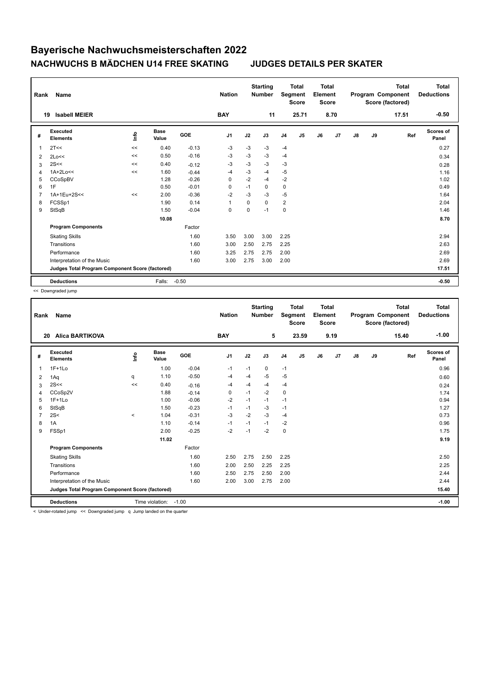| Rank           | <b>Name</b>                                     |      |                      |            | <b>Nation</b>  |          | <b>Starting</b><br><b>Number</b> | Segment        | <b>Total</b><br><b>Score</b> | <b>Total</b><br>Element<br><b>Score</b> |                |    |    | <b>Total</b><br>Program Component<br>Score (factored) | Total<br><b>Deductions</b> |
|----------------|-------------------------------------------------|------|----------------------|------------|----------------|----------|----------------------------------|----------------|------------------------------|-----------------------------------------|----------------|----|----|-------------------------------------------------------|----------------------------|
| 19             | <b>Isabell MEIER</b>                            |      |                      |            | <b>BAY</b>     |          | 11                               |                | 25.71                        |                                         | 8.70           |    |    | 17.51                                                 | $-0.50$                    |
| #              | Executed<br><b>Elements</b>                     | lnfo | <b>Base</b><br>Value | <b>GOE</b> | J <sub>1</sub> | J2       | J3                               | J <sub>4</sub> | J5                           | J6                                      | J <sub>7</sub> | J8 | J9 | Ref                                                   | <b>Scores of</b><br>Panel  |
| 1              | 2T<<                                            | <<   | 0.40                 | $-0.13$    | $-3$           | $-3$     | $-3$                             | $-4$           |                              |                                         |                |    |    |                                                       | 0.27                       |
| 2              | 2Lo<<                                           | <<   | 0.50                 | $-0.16$    | $-3$           | -3       | $-3$                             | $-4$           |                              |                                         |                |    |    |                                                       | 0.34                       |
| 3              | 2S<<                                            | <<   | 0.40                 | $-0.12$    | $-3$           | $-3$     | $-3$                             | $-3$           |                              |                                         |                |    |    |                                                       | 0.28                       |
| $\overline{4}$ | $1A+2Lo<<$                                      | <<   | 1.60                 | $-0.44$    | $-4$           | -3       | $-4$                             | -5             |                              |                                         |                |    |    |                                                       | 1.16                       |
| 5              | CCoSpBV                                         |      | 1.28                 | $-0.26$    | 0              | $-2$     | $-4$                             | $-2$           |                              |                                         |                |    |    |                                                       | 1.02                       |
| 6              | 1F                                              |      | 0.50                 | $-0.01$    | 0              | $-1$     | 0                                | 0              |                              |                                         |                |    |    |                                                       | 0.49                       |
| $\overline{7}$ | 1A+1Eu+2S<<                                     | <<   | 2.00                 | $-0.36$    | $-2$           | $-3$     | $-3$                             | $-5$           |                              |                                         |                |    |    |                                                       | 1.64                       |
| 8              | FCSSp1                                          |      | 1.90                 | 0.14       | $\mathbf{1}$   | $\Omega$ | $\Omega$                         | $\overline{2}$ |                              |                                         |                |    |    |                                                       | 2.04                       |
| 9              | StSqB                                           |      | 1.50                 | $-0.04$    | 0              | 0        | $-1$                             | $\mathbf 0$    |                              |                                         |                |    |    |                                                       | 1.46                       |
|                |                                                 |      | 10.08                |            |                |          |                                  |                |                              |                                         |                |    |    |                                                       | 8.70                       |
|                | <b>Program Components</b>                       |      |                      | Factor     |                |          |                                  |                |                              |                                         |                |    |    |                                                       |                            |
|                | <b>Skating Skills</b>                           |      |                      | 1.60       | 3.50           | 3.00     | 3.00                             | 2.25           |                              |                                         |                |    |    |                                                       | 2.94                       |
|                | Transitions                                     |      |                      | 1.60       | 3.00           | 2.50     | 2.75                             | 2.25           |                              |                                         |                |    |    |                                                       | 2.63                       |
|                | Performance                                     |      |                      | 1.60       | 3.25           | 2.75     | 2.75                             | 2.00           |                              |                                         |                |    |    |                                                       | 2.69                       |
|                | Interpretation of the Music                     |      |                      | 1.60       | 3.00           | 2.75     | 3.00                             | 2.00           |                              |                                         |                |    |    |                                                       | 2.69                       |
|                | Judges Total Program Component Score (factored) |      |                      |            |                |          |                                  |                |                              |                                         |                |    |    |                                                       | 17.51                      |
|                | <b>Deductions</b>                               |      | Falls:               | $-0.50$    |                |          |                                  |                |                              |                                         |                |    |    |                                                       | $-0.50$                    |

<< Downgraded jump

| Rank         | Name                                            |         |                 |            | <b>Nation</b> |      | <b>Starting</b><br><b>Number</b> |                | <b>Total</b><br>Segment<br><b>Score</b> | <b>Total</b><br>Element<br><b>Score</b> |      |               |    | <b>Total</b><br>Program Component<br>Score (factored) | <b>Total</b><br><b>Deductions</b> |
|--------------|-------------------------------------------------|---------|-----------------|------------|---------------|------|----------------------------------|----------------|-----------------------------------------|-----------------------------------------|------|---------------|----|-------------------------------------------------------|-----------------------------------|
| 20           | <b>Alica BARTIKOVA</b>                          |         |                 |            | <b>BAY</b>    |      | 5                                |                | 23.59                                   |                                         | 9.19 |               |    | 15.40                                                 | $-1.00$                           |
| #            | Executed<br><b>Elements</b>                     | lnfo    | Base<br>Value   | <b>GOE</b> | J1            | J2   | J3                               | J <sub>4</sub> | J <sub>5</sub>                          | J6                                      | J7   | $\mathsf{J}8$ | J9 | Ref                                                   | Scores of<br>Panel                |
| $\mathbf{1}$ | $1F+1Lo$                                        |         | 1.00            | $-0.04$    | $-1$          | $-1$ | 0                                | $-1$           |                                         |                                         |      |               |    |                                                       | 0.96                              |
| 2            | 1Aq                                             | q       | 1.10            | $-0.50$    | -4            | $-4$ | $-5$                             | $-5$           |                                         |                                         |      |               |    |                                                       | 0.60                              |
| 3            | 2S<<                                            | <<      | 0.40            | $-0.16$    | -4            | $-4$ | $-4$                             | $-4$           |                                         |                                         |      |               |    |                                                       | 0.24                              |
| 4            | CCoSp2V                                         |         | 1.88            | $-0.14$    | 0             | $-1$ | $-2$                             | $\mathbf 0$    |                                         |                                         |      |               |    |                                                       | 1.74                              |
| 5            | $1F+1Lo$                                        |         | 1.00            | $-0.06$    | $-2$          | $-1$ | $-1$                             | $-1$           |                                         |                                         |      |               |    |                                                       | 0.94                              |
| 6            | StSqB                                           |         | 1.50            | $-0.23$    | $-1$          | $-1$ | $-3$                             | $-1$           |                                         |                                         |      |               |    |                                                       | 1.27                              |
| 7            | 2S<                                             | $\prec$ | 1.04            | $-0.31$    | -3            | $-2$ | -3                               | $-4$           |                                         |                                         |      |               |    |                                                       | 0.73                              |
| 8            | 1A                                              |         | 1.10            | $-0.14$    | $-1$          | $-1$ | $-1$                             | $-2$           |                                         |                                         |      |               |    |                                                       | 0.96                              |
| 9            | FSSp1                                           |         | 2.00            | $-0.25$    | $-2$          | $-1$ | $-2$                             | 0              |                                         |                                         |      |               |    |                                                       | 1.75                              |
|              |                                                 |         | 11.02           |            |               |      |                                  |                |                                         |                                         |      |               |    |                                                       | 9.19                              |
|              | <b>Program Components</b>                       |         |                 | Factor     |               |      |                                  |                |                                         |                                         |      |               |    |                                                       |                                   |
|              | <b>Skating Skills</b>                           |         |                 | 1.60       | 2.50          | 2.75 | 2.50                             | 2.25           |                                         |                                         |      |               |    |                                                       | 2.50                              |
|              | Transitions                                     |         |                 | 1.60       | 2.00          | 2.50 | 2.25                             | 2.25           |                                         |                                         |      |               |    |                                                       | 2.25                              |
|              | Performance                                     |         |                 | 1.60       | 2.50          | 2.75 | 2.50                             | 2.00           |                                         |                                         |      |               |    |                                                       | 2.44                              |
|              | Interpretation of the Music                     |         |                 | 1.60       | 2.00          | 3.00 | 2.75                             | 2.00           |                                         |                                         |      |               |    |                                                       | 2.44                              |
|              | Judges Total Program Component Score (factored) |         |                 |            |               |      |                                  |                |                                         |                                         |      |               |    |                                                       | 15.40                             |
|              | <b>Deductions</b>                               |         | Time violation: | $-1.00$    |               |      |                                  |                |                                         |                                         |      |               |    |                                                       | $-1.00$                           |

< Under-rotated jump << Downgraded jump q Jump landed on the quarter